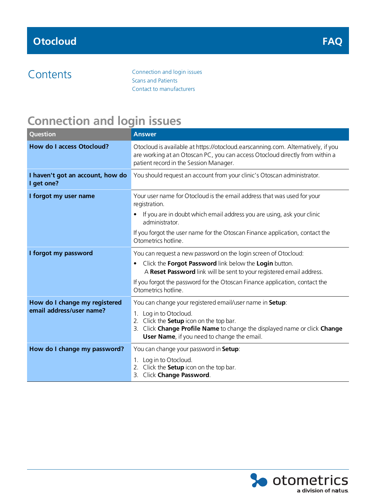Contents [Connection](#page-0-0) and login issues Scans and [Patients](#page-1-0) Contact to [manufacturers](#page-2-0)

### <span id="page-0-0"></span>**Connection and login issues**

| Question                                                  | <b>Answer</b>                                                                                                                                                                                              |
|-----------------------------------------------------------|------------------------------------------------------------------------------------------------------------------------------------------------------------------------------------------------------------|
| <b>How do I access Otocloud?</b>                          | Otocloud is available at https://otocloud.earscanning.com. Alternatively, if you<br>are working at an Otoscan PC, you can access Otocloud directly from within a<br>patient record in the Session Manager. |
| I haven't got an account, how do<br>I get one?            | You should request an account from your clinic's Otoscan administrator.                                                                                                                                    |
| I forgot my user name                                     | Your user name for Otocloud is the email address that was used for your<br>registration.                                                                                                                   |
|                                                           | If you are in doubt which email address you are using, ask your clinic<br>$\bullet$<br>administrator.                                                                                                      |
|                                                           | If you forgot the user name for the Otoscan Finance application, contact the<br>Otometrics hotline.                                                                                                        |
| I forgot my password                                      | You can request a new password on the login screen of Otocloud:                                                                                                                                            |
|                                                           | Click the Forgot Password link below the Login button.<br>٠<br>A Reset Password link will be sent to your registered email address.                                                                        |
|                                                           | If you forgot the password for the Otoscan Finance application, contact the<br>Otometrics hotline.                                                                                                         |
| How do I change my registered<br>email address/user name? | You can change your registered email/user name in Setup:                                                                                                                                                   |
|                                                           | 1. Log in to Otocloud.<br>2. Click the <b>Setup</b> icon on the top bar.<br>Click Change Profile Name to change the displayed name or click Change<br>3.<br>User Name, if you need to change the email.    |
| How do I change my password?                              | You can change your password in Setup:                                                                                                                                                                     |
|                                                           | 1. Log in to Otocloud.<br>2. Click the <b>Setup</b> icon on the top bar.<br>3. Click Change Password.                                                                                                      |

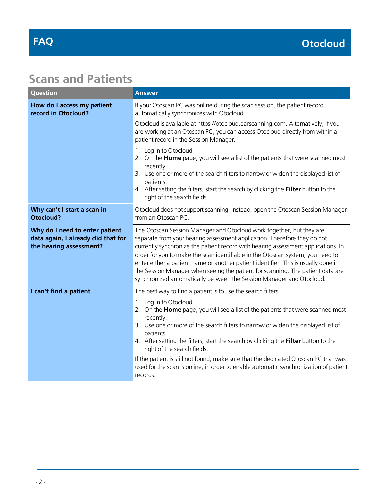### <span id="page-1-0"></span>**Scans and Patients**

| Question                                                                                        | <b>Answer</b>                                                                                                                                                                                                                                                                                                                                                                                                                                                                                                                                                                                            |
|-------------------------------------------------------------------------------------------------|----------------------------------------------------------------------------------------------------------------------------------------------------------------------------------------------------------------------------------------------------------------------------------------------------------------------------------------------------------------------------------------------------------------------------------------------------------------------------------------------------------------------------------------------------------------------------------------------------------|
| How do I access my patient<br>record in Otocloud?                                               | If your Otoscan PC was online during the scan session, the patient record<br>automatically synchronizes with Otocloud.                                                                                                                                                                                                                                                                                                                                                                                                                                                                                   |
|                                                                                                 | Otocloud is available at https://otocloud.earscanning.com. Alternatively, if you<br>are working at an Otoscan PC, you can access Otocloud directly from within a<br>patient record in the Session Manager.                                                                                                                                                                                                                                                                                                                                                                                               |
|                                                                                                 | 1. Log in to Otocloud<br>2. On the Home page, you will see a list of the patients that were scanned most<br>recently.<br>3. Use one or more of the search filters to narrow or widen the displayed list of<br>patients.<br>4. After setting the filters, start the search by clicking the Filter button to the<br>right of the search fields.                                                                                                                                                                                                                                                            |
| Why can't I start a scan in<br><b>Otocloud?</b>                                                 | Otocloud does not support scanning. Instead, open the Otoscan Session Manager<br>from an Otoscan PC.                                                                                                                                                                                                                                                                                                                                                                                                                                                                                                     |
| Why do I need to enter patient<br>data again, I already did that for<br>the hearing assessment? | The Otoscan Session Manager and Otocloud work together, but they are<br>separate from your hearing assessment application. Therefore they do not<br>currently synchronize the patient record with hearing assessment applications. In<br>order for you to make the scan identifiable in the Otoscan system, you need to<br>enter either a patient name or another patient identifier. This is usually done in<br>the Session Manager when seeing the patient for scanning. The patient data are<br>synchronized automatically between the Session Manager and Otocloud.                                  |
| I can't find a patient                                                                          | The best way to find a patient is to use the search filters:<br>1. Log in to Otocloud<br>2. On the Home page, you will see a list of the patients that were scanned most<br>recently.<br>3. Use one or more of the search filters to narrow or widen the displayed list of<br>patients.<br>4. After setting the filters, start the search by clicking the Filter button to the<br>right of the search fields.<br>If the patient is still not found, make sure that the dedicated Otoscan PC that was<br>used for the scan is online, in order to enable automatic synchronization of patient<br>records. |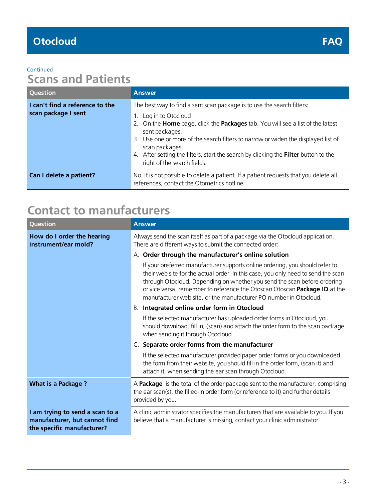#### **Continued**

## **Scans and Patients**

| <b>Question</b>                                        | <b>Answer</b>                                                                                                                                                                                                                                                                                                                                                                                                                                  |
|--------------------------------------------------------|------------------------------------------------------------------------------------------------------------------------------------------------------------------------------------------------------------------------------------------------------------------------------------------------------------------------------------------------------------------------------------------------------------------------------------------------|
| I can't find a reference to the<br>scan package I sent | The best way to find a sent scan package is to use the search filters:<br>1. Log in to Otocloud<br>2. On the <b>Home</b> page, click the <b>Packages</b> tab. You will see a list of the latest<br>sent packages.<br>3. Use one or more of the search filters to narrow or widen the displayed list of<br>scan packages.<br>4. After setting the filters, start the search by clicking the Filter button to the<br>right of the search fields. |
| Can I delete a patient?                                | No. It is not possible to delete a patient. If a patient requests that you delete all<br>references, contact the Otometrics hotline.                                                                                                                                                                                                                                                                                                           |

# <span id="page-2-0"></span>**Contact to manufacturers**

| Question                                                                                       | <b>Answer</b>                                                                                                                                                                                                                                                                                                                                                                                    |
|------------------------------------------------------------------------------------------------|--------------------------------------------------------------------------------------------------------------------------------------------------------------------------------------------------------------------------------------------------------------------------------------------------------------------------------------------------------------------------------------------------|
| How do I order the hearing<br>instrument/ear mold?                                             | Always send the scan itself as part of a package via the Otocloud application.<br>There are different ways to submit the connected order:                                                                                                                                                                                                                                                        |
|                                                                                                | A. Order through the manufacturer's online solution                                                                                                                                                                                                                                                                                                                                              |
|                                                                                                | If your preferred manufacturer supports online ordering, you should refer to<br>their web site for the actual order. In this case, you only need to send the scan<br>through Otocloud. Depending on whether you send the scan before ordering<br>or vice versa, remember to reference the Otoscan Otoscan Package ID at the<br>manufacturer web site, or the manufacturer PO number in Otocloud. |
|                                                                                                | Integrated online order form in Otocloud<br>В.                                                                                                                                                                                                                                                                                                                                                   |
|                                                                                                | If the selected manufacturer has uploaded order forms in Otocloud, you<br>should download, fill in, (scan) and attach the order form to the scan package<br>when sending it through Otocloud.                                                                                                                                                                                                    |
|                                                                                                | C. Separate order forms from the manufacturer                                                                                                                                                                                                                                                                                                                                                    |
|                                                                                                | If the selected manufacturer provided paper order forms or you downloaded<br>the form from their website, you should fill in the order form, (scan it) and<br>attach it, when sending the ear scan through Otocloud.                                                                                                                                                                             |
| <b>What is a Package?</b>                                                                      | A Package is the total of the order package sent to the manufacturer, comprising<br>the ear scan(s), the filled-in order form (or reference to it) and further details<br>provided by you.                                                                                                                                                                                                       |
| I am trying to send a scan to a<br>manufacturer, but cannot find<br>the specific manufacturer? | A clinic administrator specifies the manufacturers that are available to you. If you<br>believe that a manufacturer is missing, contact your clinic administrator.                                                                                                                                                                                                                               |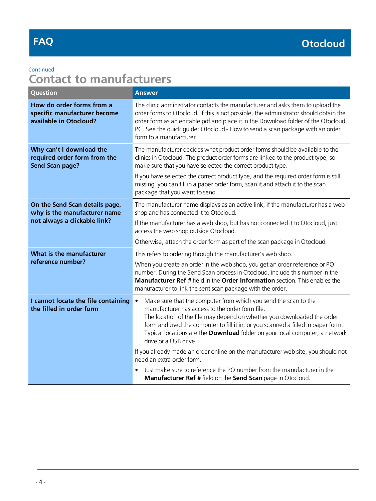# **FAQ**

### Continued

# **Contact to manufacturers**

| <b>Question</b>                                                                                | <b>Answer</b>                                                                                                                                                                                                                                                                                                                                                                                                                                                                                                                                                                                                                                                           |
|------------------------------------------------------------------------------------------------|-------------------------------------------------------------------------------------------------------------------------------------------------------------------------------------------------------------------------------------------------------------------------------------------------------------------------------------------------------------------------------------------------------------------------------------------------------------------------------------------------------------------------------------------------------------------------------------------------------------------------------------------------------------------------|
| How do order forms from a<br>specific manufacturer become<br>available in Otocloud?            | The clinic administrator contacts the manufacturer and asks them to upload the<br>order forms to Otocloud. If this is not possible, the administrator should obtain the<br>order form as an editable pdf and place it in the Download folder of the Otocloud<br>PC. See the quick guide: Otocloud - How to send a scan package with an order<br>form to a manufacturer.                                                                                                                                                                                                                                                                                                 |
| Why can't I download the<br>required order form from the<br>Send Scan page?                    | The manufacturer decides what product order forms should be available to the<br>clinics in Otocloud. The product order forms are linked to the product type, so<br>make sure that you have selected the correct product type.<br>If you have selected the correct product type, and the required order form is still<br>missing, you can fill in a paper order form, scan it and attach it to the scan<br>package that you want to send.                                                                                                                                                                                                                                |
| On the Send Scan details page,<br>why is the manufacturer name<br>not always a clickable link? | The manufacturer name displays as an active link, if the manufacturer has a web<br>shop and has connected it to Otocloud.<br>If the manufacturer has a web shop, but has not connected it to Otocloud, just<br>access the web shop outside Otocloud.<br>Otherwise, attach the order form as part of the scan package in Otocloud.                                                                                                                                                                                                                                                                                                                                       |
| What is the manufacturer<br>reference number?                                                  | This refers to ordering through the manufacturer's web shop.<br>When you create an order in the web shop, you get an order reference or PO<br>number. During the Send Scan process in Otocloud, include this number in the<br>Manufacturer Ref # field in the Order Information section. This enables the<br>manufacturer to link the sent scan package with the order.                                                                                                                                                                                                                                                                                                 |
| I cannot locate the file containing<br>the filled in order form                                | Make sure that the computer from which you send the scan to the<br>$\bullet$<br>manufacturer has access to the order form file.<br>The location of the file may depend on whether you downloaded the order<br>form and used the computer to fill it in, or you scanned a filled in paper form.<br>Typical locations are the <b>Download</b> folder on your local computer, a network<br>drive or a USB drive.<br>If you already made an order online on the manufacturer web site, you should not<br>need an extra order form.<br>Just make sure to reference the PO number from the manufacturer in the<br>Manufacturer Ref # field on the Send Scan page in Otocloud. |